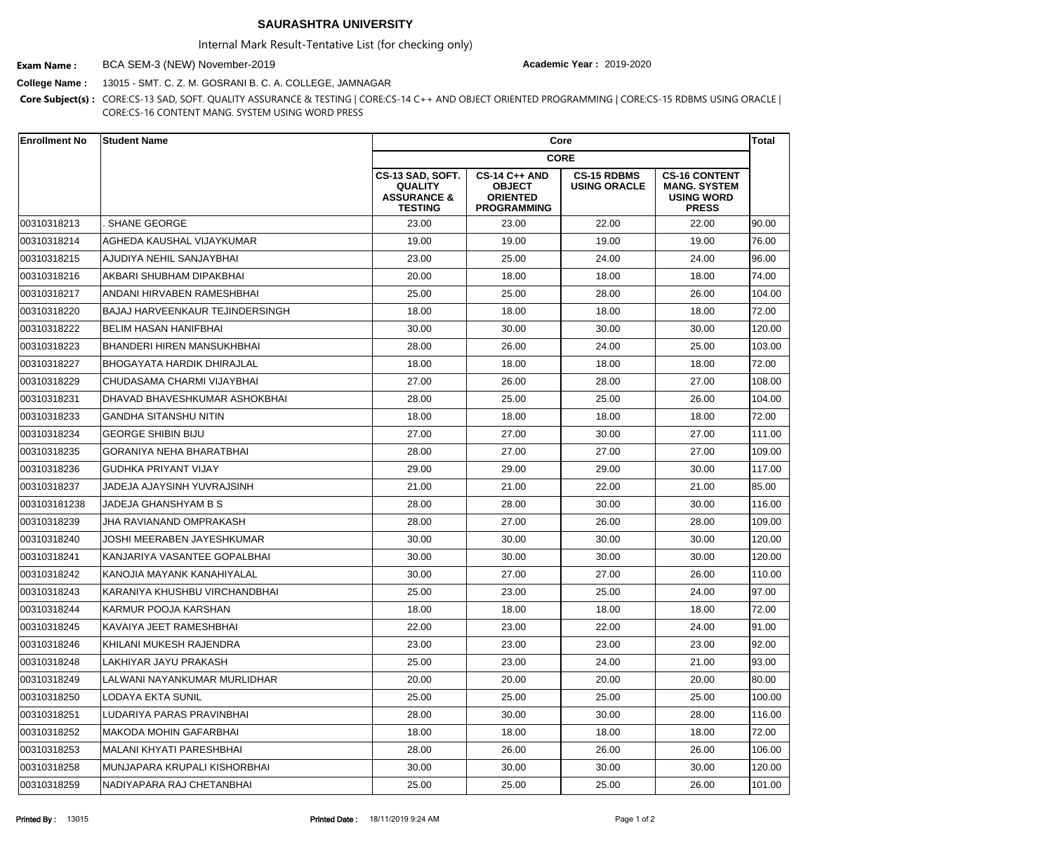## **SAURASHTRA UNIVERSITY**

Internal Mark Result-Tentative List (for checking only)

BCA SEM-3 (NEW) November-2019 **Exam Name : Academic Year :** 2019-2020

**College Name :** 13015 - SMT. C. Z. M. GOSRANI B. C. A. COLLEGE, JAMNAGAR

**Core Subject(s) :** CORE:CS-13 SAD, SOFT. QUALITY ASSURANCE & TESTING | CORE:CS-14 C++ AND OBJECT ORIENTED PROGRAMMING | CORE:CS-15 RDBMS USING ORACLE | CORE:CS-16 CONTENT MANG. SYSTEM USING WORD PRESS

| <b>Enrollment No</b> | <b>Student Name</b>                  |                                                                                | Core                                                                           |                                           |                                                                                  |        |
|----------------------|--------------------------------------|--------------------------------------------------------------------------------|--------------------------------------------------------------------------------|-------------------------------------------|----------------------------------------------------------------------------------|--------|
|                      |                                      |                                                                                |                                                                                |                                           |                                                                                  |        |
|                      |                                      | CS-13 SAD, SOFT.<br><b>QUALITY</b><br><b>ASSURANCE &amp;</b><br><b>TESTING</b> | <b>CS-14 C++ AND</b><br><b>OBJECT</b><br><b>ORIENTED</b><br><b>PROGRAMMING</b> | <b>CS-15 RDBMS</b><br><b>USING ORACLE</b> | <b>CS-16 CONTENT</b><br><b>MANG. SYSTEM</b><br><b>USING WORD</b><br><b>PRESS</b> |        |
| 00310318213          | SHANE GEORGE                         | 23.00                                                                          | 23.00                                                                          | 22.00                                     | 22.00                                                                            | 90.00  |
| 00310318214          | <b>AGHEDA KAUSHAL VIJAYKUMAR</b>     | 19.00                                                                          | 19.00                                                                          | 19.00                                     | 19.00                                                                            | 76.00  |
| 00310318215          | AJUDIYA NEHIL SANJAYBHAI             | 23.00                                                                          | 25.00                                                                          | 24.00                                     | 24.00                                                                            | 96.00  |
| 00310318216          | AKBARI SHUBHAM DIPAKBHAI             | 20.00                                                                          | 18.00                                                                          | 18.00                                     | 18.00                                                                            | 74.00  |
| 00310318217          | <b>ANDANI HIRVABEN RAMESHBHAI</b>    | 25.00                                                                          | 25.00                                                                          | 28.00                                     | 26.00                                                                            | 104.00 |
| 00310318220          | BAJAJ HARVEENKAUR TEJINDERSINGH      | 18.00                                                                          | 18.00                                                                          | 18.00                                     | 18.00                                                                            | 72.00  |
| 00310318222          | <b>BELIM HASAN HANIFBHAI</b>         | 30.00                                                                          | 30.00                                                                          | 30.00                                     | 30.00                                                                            | 120.00 |
| 00310318223          | <b>IBHANDERI HIREN MANSUKHBHAI</b>   | 28.00                                                                          | 26.00                                                                          | 24.00                                     | 25.00                                                                            | 103.00 |
| 00310318227          | BHOGAYATA HARDIK DHIRAJLAL           | 18.00                                                                          | 18.00                                                                          | 18.00                                     | 18.00                                                                            | 72.00  |
| 00310318229          | CHUDASAMA CHARMI VIJAYBHAI           | 27.00                                                                          | 26.00                                                                          | 28.00                                     | 27.00                                                                            | 108.00 |
| 00310318231          | <b>DHAVAD BHAVESHKUMAR ASHOKBHAI</b> | 28.00                                                                          | 25.00                                                                          | 25.00                                     | 26.00                                                                            | 104.00 |
| 00310318233          | <b>GANDHA SITANSHU NITIN</b>         | 18.00                                                                          | 18.00                                                                          | 18.00                                     | 18.00                                                                            | 72.00  |
| 00310318234          | <b>GEORGE SHIBIN BIJU</b>            | 27.00                                                                          | 27.00                                                                          | 30.00                                     | 27.00                                                                            | 111.00 |
| 00310318235          | <b>GORANIYA NEHA BHARATBHAI</b>      | 28.00                                                                          | 27.00                                                                          | 27.00                                     | 27.00                                                                            | 109.00 |
| 00310318236          | <b>GUDHKA PRIYANT VIJAY</b>          | 29.00                                                                          | 29.00                                                                          | 29.00                                     | 30.00                                                                            | 117.00 |
| 00310318237          | JADEJA AJAYSINH YUVRAJSINH           | 21.00                                                                          | 21.00                                                                          | 22.00                                     | 21.00                                                                            | 85.00  |
| 003103181238         | JADEJA GHANSHYAM B S                 | 28.00                                                                          | 28.00                                                                          | 30.00                                     | 30.00                                                                            | 116.00 |
| 00310318239          | JHA RAVIANAND OMPRAKASH              | 28.00                                                                          | 27.00                                                                          | 26.00                                     | 28.00                                                                            | 109.00 |
| 00310318240          | JOSHI MEERABEN JAYESHKUMAR           | 30.00                                                                          | 30.00                                                                          | 30.00                                     | 30.00                                                                            | 120.00 |
| 00310318241          | KANJARIYA VASANTEE GOPALBHAI         | 30.00                                                                          | 30.00                                                                          | 30.00                                     | 30.00                                                                            | 120.00 |
| 00310318242          | KANOJIA MAYANK KANAHIYALAL           | 30.00                                                                          | 27.00                                                                          | 27.00                                     | 26.00                                                                            | 110.00 |
| 00310318243          | KARANIYA KHUSHBU VIRCHANDBHAI        | 25.00                                                                          | 23.00                                                                          | 25.00                                     | 24.00                                                                            | 97.00  |
| 00310318244          | KARMUR POOJA KARSHAN                 | 18.00                                                                          | 18.00                                                                          | 18.00                                     | 18.00                                                                            | 72.00  |
| 00310318245          | KAVAIYA JEET RAMESHBHAI              | 22.00                                                                          | 23.00                                                                          | 22.00                                     | 24.00                                                                            | 91.00  |
| 00310318246          | KHILANI MUKESH RAJENDRA              | 23.00                                                                          | 23.00                                                                          | 23.00                                     | 23.00                                                                            | 92.00  |
| 00310318248          | LAKHIYAR JAYU PRAKASH                | 25.00                                                                          | 23.00                                                                          | 24.00                                     | 21.00                                                                            | 93.00  |
| 00310318249          | LALWANI NAYANKUMAR MURLIDHAR         | 20.00                                                                          | 20.00                                                                          | 20.00                                     | 20.00                                                                            | 80.00  |
| 00310318250          | LODAYA EKTA SUNIL                    | 25.00                                                                          | 25.00                                                                          | 25.00                                     | 25.00                                                                            | 100.00 |
| 00310318251          | LUDARIYA PARAS PRAVINBHAI            | 28.00                                                                          | 30.00                                                                          | 30.00                                     | 28.00                                                                            | 116.00 |
| 00310318252          | MAKODA MOHIN GAFARBHAI               | 18.00                                                                          | 18.00                                                                          | 18.00                                     | 18.00                                                                            | 72.00  |
| 00310318253          | MALANI KHYATI PARESHBHAI             | 28.00                                                                          | 26.00                                                                          | 26.00                                     | 26.00                                                                            | 106.00 |
| 00310318258          | MUNJAPARA KRUPALI KISHORBHAI         | 30.00                                                                          | 30.00                                                                          | 30.00                                     | 30.00                                                                            | 120.00 |
| 00310318259          | NADIYAPARA RAJ CHETANBHAI            | 25.00                                                                          | 25.00                                                                          | 25.00                                     | 26.00                                                                            | 101.00 |